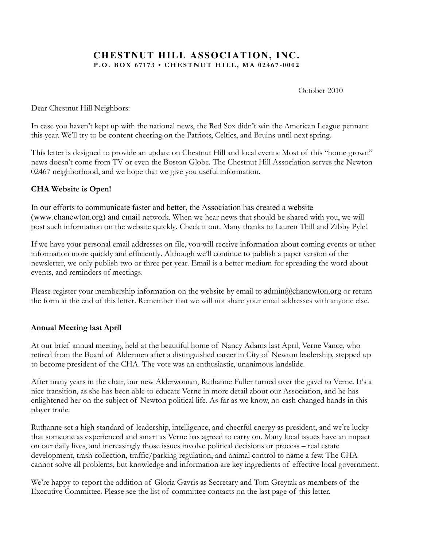# **CHESTNUT HILL ASSOCIATION, INC. P.O. BOX 67173 • CHESTNUT HILL, MA 02467 - 0002**

October 2010

Dear Chestnut Hill Neighbors:

In case you haven't kept up with the national news, the Red Sox didn't win the American League pennant this year. We'll try to be content cheering on the Patriots, Celtics, and Bruins until next spring.

This letter is designed to provide an update on Chestnut Hill and local events. Most of this "home grown" news doesn't come from TV or even the Boston Globe. The Chestnut Hill Association serves the Newton 02467 neighborhood, and we hope that we give you useful information.

## **CHA Website is Open!**

In our efforts to communicate faster and better, the Association has created a website (www.chanewton.org) and email network. When we hear news that should be shared with you, we will post such information on the website quickly. Check it out. Many thanks to Lauren Thill and Zibby Pyle!

If we have your personal email addresses on file, you will receive information about coming events or other information more quickly and efficiently. Although we'll continue to publish a paper version of the newsletter, we only publish two or three per year. Email is a better medium for spreading the word about events, and reminders of meetings.

Please register your membership information on the website by email to admin@chanewton.org or return the form at the end of this letter. Remember that we will not share your email addresses with anyone else.

## **Annual Meeting last April**

At our brief annual meeting, held at the beautiful home of Nancy Adams last April, Verne Vance, who retired from the Board of Aldermen after a distinguished career in City of Newton leadership, stepped up to become president of the CHA. The vote was an enthusiastic, unanimous landslide.

After many years in the chair, our new Alderwoman, Ruthanne Fuller turned over the gavel to Verne. It's a nice transition, as she has been able to educate Verne in more detail about our Association, and he has enlightened her on the subject of Newton political life. As far as we know, no cash changed hands in this player trade.

Ruthanne set a high standard of leadership, intelligence, and cheerful energy as president, and we're lucky that someone as experienced and smart as Verne has agreed to carry on. Many local issues have an impact on our daily lives, and increasingly those issues involve political decisions or process – real estate development, trash collection, traffic/parking regulation, and animal control to name a few. The CHA cannot solve all problems, but knowledge and information are key ingredients of effective local government.

We're happy to report the addition of Gloria Gavris as Secretary and Tom Greytak as members of the Executive Committee. Please see the list of committee contacts on the last page of this letter.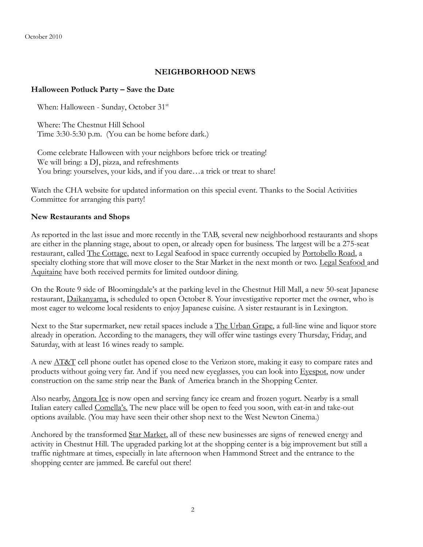October 2010

### **NEIGHBORHOOD NEWS**

### **Halloween Potluck Party – Save the Date**

When: Halloween - Sunday, October 31<sup>st</sup>

Where: The Chestnut Hill School Time 3:30-5:30 p.m. (You can be home before dark.)

Come celebrate Halloween with your neighbors before trick or treating! We will bring: a DJ, pizza, and refreshments You bring: yourselves, your kids, and if you dare...a trick or treat to share!

Watch the CHA website for updated information on this special event. Thanks to the Social Activities Committee for arranging this party!

### **New Restaurants and Shops**

As reported in the last issue and more recently in the TAB, several new neighborhood restaurants and shops are either in the planning stage, about to open, or already open for business. The largest will be a 275-seat restaurant, called The Cottage, next to Legal Seafood in space currently occupied by Portobello Road, a specialty clothing store that will move closer to the Star Market in the next month or two. Legal Seafood and Aquitaine have both received permits for limited outdoor dining.

On the Route 9 side of Bloomingdale's at the parking level in the Chestnut Hill Mall, a new 50-seat Japanese restaurant, Daikanyama, is scheduled to open October 8. Your investigative reporter met the owner, who is most eager to welcome local residents to enjoy Japanese cuisine. A sister restaurant is in Lexington.

Next to the Star supermarket, new retail spaces include a <u>The Urban Grape</u>, a full-line wine and liquor store already in operation. According to the managers, they will offer wine tastings every Thursday, Friday, and Saturday, with at least 16 wines ready to sample.

A new  $\overline{\text{AT&T}}$  cell phone outlet has opened close to the Verizon store, making it easy to compare rates and products without going very far. And if you need new eyeglasses, you can look into Eyespot, now under construction on the same strip near the Bank of America branch in the Shopping Center.

Also nearby, Angora Ice is now open and serving fancy ice cream and frozen yogurt. Nearby is a small Italian eatery called Comella's. The new place will be open to feed you soon, with eat-in and take-out options available. (You may have seen their other shop next to the West Newton Cinema.)

Anchored by the transformed Star Market, all of these new businesses are signs of renewed energy and activity in Chestnut Hill. The upgraded parking lot at the shopping center is a big improvement but still a traffic nightmare at times, especially in late afternoon when Hammond Street and the entrance to the shopping center are jammed. Be careful out there!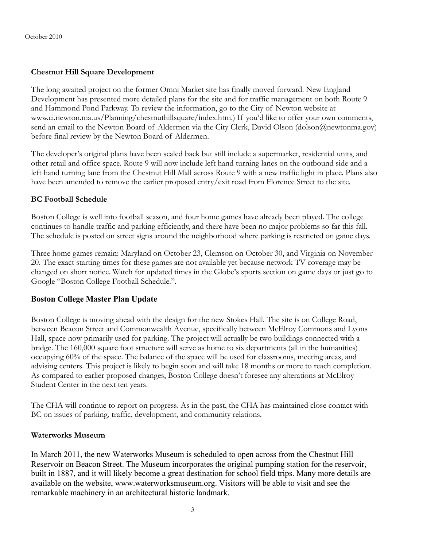## **Chestnut Hill Square Development**

The long awaited project on the former Omni Market site has finally moved forward. New England Development has presented more detailed plans for the site and for traffic management on both Route 9 and Hammond Pond Parkway. To review the information, go to the City of Newton website at www.ci.newton.ma.us/Planning/chestnuthillsquare/index.htm.) If you'd like to offer your own comments, send an email to the Newton Board of Aldermen via the City Clerk, David Olson (dolson@newtonma.gov) before final review by the Newton Board of Aldermen.

The developer's original plans have been scaled back but still include a supermarket, residential units, and other retail and office space. Route 9 will now include left hand turning lanes on the outbound side and a left hand turning lane from the Chestnut Hill Mall across Route 9 with a new traffic light in place. Plans also have been amended to remove the earlier proposed entry/exit road from Florence Street to the site.

## **BC Football Schedule**

Boston College is well into football season, and four home games have already been played. The college continues to handle traffic and parking efficiently, and there have been no major problems so far this fall. The schedule is posted on street signs around the neighborhood where parking is restricted on game days.

Three home games remain: Maryland on October 23, Clemson on October 30, and Virginia on November 20. The exact starting times for these games are not available yet because network TV coverage may be changed on short notice. Watch for updated times in the Globe's sports section on game days or just go to Google "Boston College Football Schedule.".

## **Boston College Master Plan Update**

Boston College is moving ahead with the design for the new Stokes Hall. The site is on College Road, between Beacon Street and Commonwealth Avenue, specifically between McElroy Commons and Lyons Hall, space now primarily used for parking. The project will actually be two buildings connected with a bridge. The 160,000 square foot structure will serve as home to six departments (all in the humanities) occupying 60% of the space. The balance of the space will be used for classrooms, meeting areas, and advising centers. This project is likely to begin soon and will take 18 months or more to reach completion. As compared to earlier proposed changes, Boston College doesn't foresee any alterations at McElroy Student Center in the next ten years.

The CHA will continue to report on progress. As in the past, the CHA has maintained close contact with BC on issues of parking, traffic, development, and community relations.

### **Waterworks Museum**

In March 2011, the new Waterworks Museum is scheduled to open across from the Chestnut Hill Reservoir on Beacon Street. The Museum incorporates the original pumping station for the reservoir, built in 1887, and it will likely become a great destination for school field trips. Many more details are available on the website, www.waterworksmuseum.org. Visitors will be able to visit and see the remarkable machinery in an architectural historic landmark.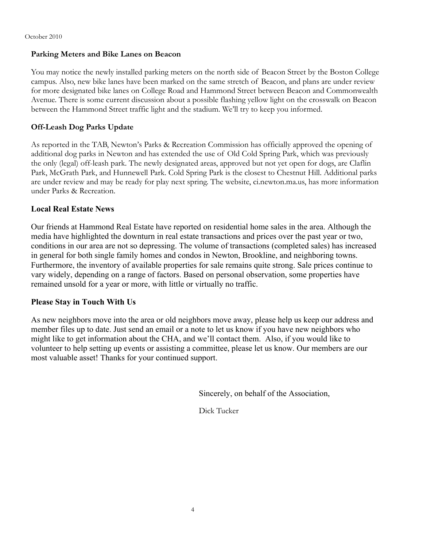#### October 2010

### **Parking Meters and Bike Lanes on Beacon**

You may notice the newly installed parking meters on the north side of Beacon Street by the Boston College campus. Also, new bike lanes have been marked on the same stretch of Beacon, and plans are under review for more designated bike lanes on College Road and Hammond Street between Beacon and Commonwealth Avenue. There is some current discussion about a possible flashing yellow light on the crosswalk on Beacon between the Hammond Street traffic light and the stadium. We'll try to keep you informed.

## **Off-Leash Dog Parks Update**

As reported in the TAB, Newton's Parks & Recreation Commission has officially approved the opening of additional dog parks in Newton and has extended the use of Old Cold Spring Park, which was previously the only (legal) off-leash park. The newly designated areas, approved but not yet open for dogs, are Claflin Park, McGrath Park, and Hunnewell Park. Cold Spring Park is the closest to Chestnut Hill. Additional parks are under review and may be ready for play next spring. The website, ci.newton.ma.us, has more information under Parks & Recreation.

## **Local Real Estate News**

Our friends at Hammond Real Estate have reported on residential home sales in the area. Although the media have highlighted the downturn in real estate transactions and prices over the past year or two, conditions in our area are not so depressing. The volume of transactions (completed sales) has increased in general for both single family homes and condos in Newton, Brookline, and neighboring towns. Furthermore, the inventory of available properties for sale remains quite strong. Sale prices continue to vary widely, depending on a range of factors. Based on personal observation, some properties have remained unsold for a year or more, with little or virtually no traffic.

## **Please Stay in Touch With Us**

As new neighbors move into the area or old neighbors move away, please help us keep our address and member files up to date. Just send an email or a note to let us know if you have new neighbors who might like to get information about the CHA, and we'll contact them. Also, if you would like to volunteer to help setting up events or assisting a committee, please let us know. Our members are our most valuable asset! Thanks for your continued support.

Sincerely, on behalf of the Association,

Dick Tucker